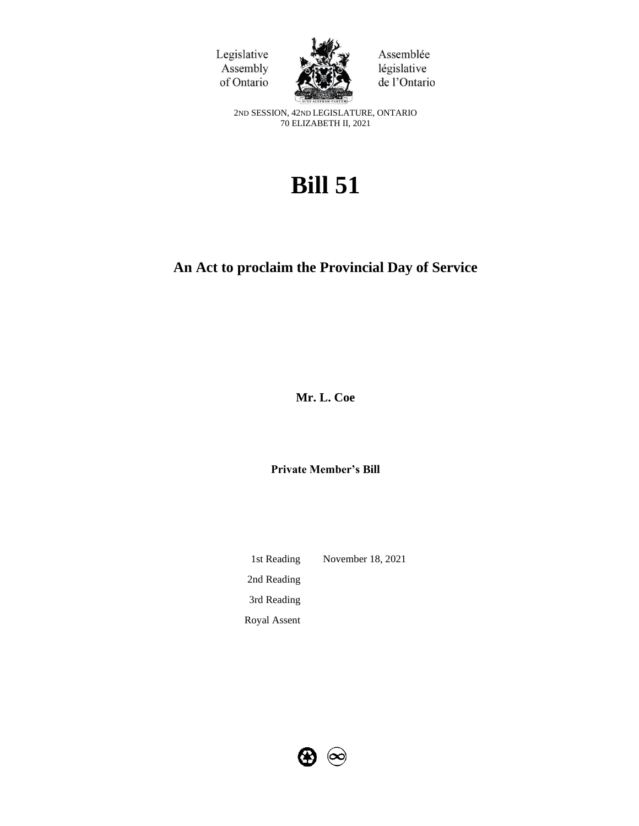



Assemblée législative de l'Ontario

2ND SESSION, 42ND LEGISLATURE, ONTARIO 70 ELIZABETH II, 2021

# **Bill 51**

## **An Act to proclaim the Provincial Day of Service**

**Mr. L. Coe**

**Private Member's Bill**

1st Reading November 18, 2021 2nd Reading 3rd Reading Royal Assent